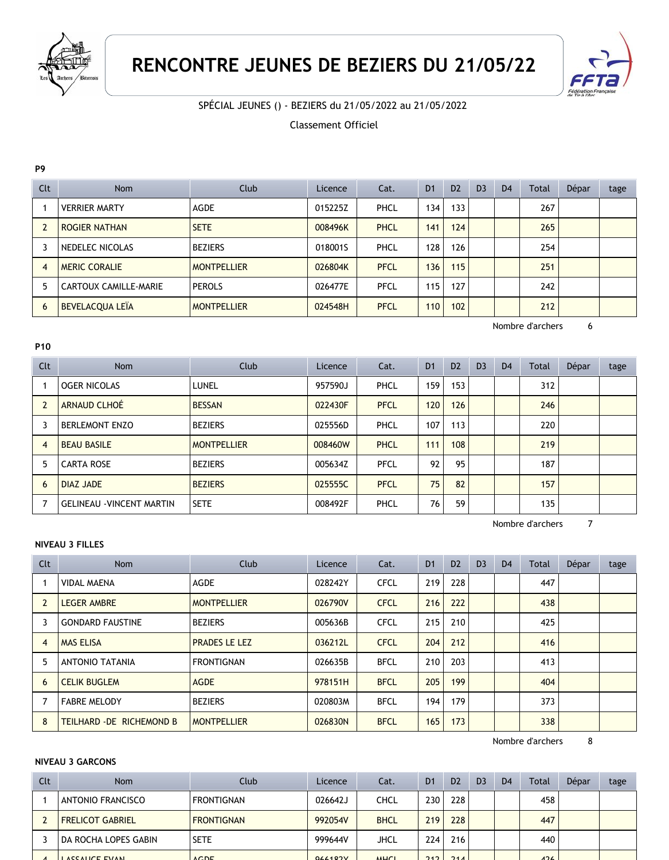

# **RENCONTRE JEUNES DE BEZIERS DU 21/05/22**



SPÉCIAL JEUNES () - BEZIERS du 21/05/2022 au 21/05/2022

Classement Officiel

#### **P9**

| Clt | <b>Nom</b>            | Club               | Licence | Cat.        | D <sub>1</sub> | D <sub>2</sub> | D <sub>3</sub> | D <sub>4</sub> | Total | Dépar | tage |
|-----|-----------------------|--------------------|---------|-------------|----------------|----------------|----------------|----------------|-------|-------|------|
|     | <b>VERRIER MARTY</b>  | AGDE               | 015225Z | PHCL        | 134            | 133            |                |                | 267   |       |      |
|     | <b>ROGIER NATHAN</b>  | <b>SETE</b>        | 008496K | <b>PHCL</b> | 141            | 124            |                |                | 265   |       |      |
| 3   | NEDELEC NICOLAS       | <b>BEZIERS</b>     | 018001S | PHCL        | 128            | 126            |                |                | 254   |       |      |
| 4   | <b>MERIC CORALIE</b>  | <b>MONTPELLIER</b> | 026804K | <b>PFCL</b> | 136            | 115            |                |                | 251   |       |      |
| 5   | CARTOUX CAMILLE-MARIE | <b>PEROLS</b>      | 026477E | PFCL        | 115            | 127            |                |                | 242   |       |      |
| 6   | BEVELACQUA LEÏA       | <b>MONTPELLIER</b> | 024548H | <b>PFCL</b> | 110            | 102            |                |                | 212   |       |      |

Nombre d'archers 6

# **P10**

| Clt            | <b>Nom</b>                       | Club               | Licence | Cat.        | D <sub>1</sub> | D <sub>2</sub> | D <sub>3</sub> | D <sub>4</sub> | <b>Total</b> | Dépar | tage |
|----------------|----------------------------------|--------------------|---------|-------------|----------------|----------------|----------------|----------------|--------------|-------|------|
|                | <b>OGER NICOLAS</b>              | LUNEL              | 957590J | PHCL        | 159            | 153            |                |                | 312          |       |      |
| $\overline{2}$ | ARNAUD CLHOÉ                     | <b>BESSAN</b>      | 022430F | <b>PFCL</b> | 120            | 126            |                |                | 246          |       |      |
| 3              | <b>BERLEMONT ENZO</b>            | <b>BEZIERS</b>     | 025556D | PHCL        | 107            | 113            |                |                | 220          |       |      |
| $\overline{4}$ | <b>BEAU BASILE</b>               | <b>MONTPELLIER</b> | 008460W | PHCL        | 111            | 108            |                |                | 219          |       |      |
| 5              | <b>CARTA ROSE</b>                | <b>BEZIERS</b>     | 005634Z | PFCL        | 92             | 95             |                |                | 187          |       |      |
| 6              | <b>DIAZ JADE</b>                 | <b>BEZIERS</b>     | 025555C | <b>PFCL</b> | 75             | 82             |                |                | 157          |       |      |
| 7              | <b>GELINEAU - VINCENT MARTIN</b> | <b>SETE</b>        | 008492F | PHCL        | 76             | 59             |                |                | 135          |       |      |

Nombre d'archers 7

## **NIVEAU 3 FILLES**

| Clt            | <b>Nom</b>                | Club                 | Licence | Cat.        | D <sub>1</sub> | D <sub>2</sub> | D <sub>3</sub> | D <sub>4</sub> | Total | Dépar | tage |
|----------------|---------------------------|----------------------|---------|-------------|----------------|----------------|----------------|----------------|-------|-------|------|
|                | <b>VIDAL MAENA</b>        | <b>AGDE</b>          | 028242Y | <b>CFCL</b> | 219            | 228            |                |                | 447   |       |      |
| $\overline{2}$ | <b>LEGER AMBRE</b>        | <b>MONTPELLIER</b>   | 026790V | <b>CFCL</b> | 216            | 222            |                |                | 438   |       |      |
| 3              | <b>GONDARD FAUSTINE</b>   | <b>BEZIERS</b>       | 005636B | <b>CFCL</b> | 215            | 210            |                |                | 425   |       |      |
| $\overline{4}$ | <b>MAS ELISA</b>          | <b>PRADES LE LEZ</b> | 036212L | <b>CFCL</b> | 204            | 212            |                |                | 416   |       |      |
| 5              | <b>ANTONIO TATANIA</b>    | <b>FRONTIGNAN</b>    | 026635B | <b>BFCL</b> | 210            | 203            |                |                | 413   |       |      |
| 6              | <b>CELIK BUGLEM</b>       | <b>AGDE</b>          | 978151H | <b>BFCL</b> | 205            | 199            |                |                | 404   |       |      |
|                | <b>FABRE MELODY</b>       | <b>BEZIERS</b>       | 020803M | <b>BFCL</b> | 194            | 179            |                |                | 373   |       |      |
| 8              | TEILHARD - DE RICHEMOND B | <b>MONTPELLIER</b>   | 026830N | <b>BFCL</b> | 165            | 173            |                |                | 338   |       |      |

Nombre d'archers 8

#### **NIVEAU 3 GARCONS**

| Clt | <b>Nom</b>               | Club              | Licence | Cat.        | D <sub>1</sub>   | D <sub>2</sub> | D <sub>3</sub> | D <sub>4</sub> | <b>Total</b> | Dépar | tage |
|-----|--------------------------|-------------------|---------|-------------|------------------|----------------|----------------|----------------|--------------|-------|------|
|     | <b>ANTONIO FRANCISCO</b> | <b>FRONTIGNAN</b> | 026642J | CHCL        | 230              | 228            |                |                | 458          |       |      |
|     | <b>FRELICOT GABRIEL</b>  | <b>FRONTIGNAN</b> | 992054V | <b>BHCL</b> | 219              | 228            |                |                | 447          |       |      |
|     | DA ROCHA LOPES GABIN     | <b>SETE</b>       | 999644V | JHCL        | 224              | 216            |                |                | 440          |       |      |
|     | I ACCALICE EVAN          | ACDE              | 044407V | MHT         | 242 <sub>1</sub> | 211            |                |                | 176          |       |      |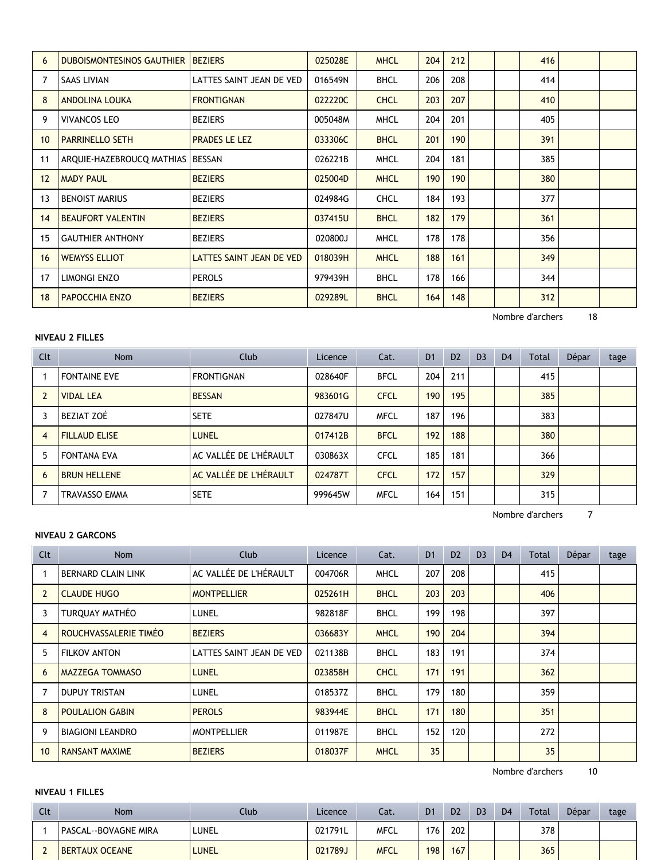| 6  | <b>DUBOISMONTESINOS GAUTHIER</b>   | <b>BEZIERS</b>           | 025028E | <b>MHCL</b> | 204 | 212 |  | 416 |  |
|----|------------------------------------|--------------------------|---------|-------------|-----|-----|--|-----|--|
|    | <b>SAAS LIVIAN</b>                 | LATTES SAINT JEAN DE VED | 016549N | <b>BHCL</b> | 206 | 208 |  | 414 |  |
| 8  | <b>ANDOLINA LOUKA</b>              | <b>FRONTIGNAN</b>        | 022220C | <b>CHCL</b> | 203 | 207 |  | 410 |  |
| 9  | <b>VIVANCOS LEO</b>                | <b>BEZIERS</b>           | 005048M | <b>MHCL</b> | 204 | 201 |  | 405 |  |
| 10 | <b>PARRINELLO SETH</b>             | <b>PRADES LE LEZ</b>     | 033306C | <b>BHCL</b> | 201 | 190 |  | 391 |  |
| 11 | ARQUIE-HAZEBROUCQ MATHIAS   BESSAN |                          | 026221B | <b>MHCL</b> | 204 | 181 |  | 385 |  |
| 12 | <b>MADY PAUL</b>                   | <b>BEZIERS</b>           | 025004D | <b>MHCL</b> | 190 | 190 |  | 380 |  |
| 13 | <b>BENOIST MARIUS</b>              | <b>BEZIERS</b>           | 024984G | <b>CHCL</b> | 184 | 193 |  | 377 |  |
| 14 | <b>BEAUFORT VALENTIN</b>           | <b>BEZIERS</b>           | 037415U | <b>BHCL</b> | 182 | 179 |  | 361 |  |
| 15 | <b>GAUTHIER ANTHONY</b>            | <b>BEZIERS</b>           | 020800J | <b>MHCL</b> | 178 | 178 |  | 356 |  |
| 16 | <b>WEMYSS ELLIOT</b>               | LATTES SAINT JEAN DE VED | 018039H | <b>MHCL</b> | 188 | 161 |  | 349 |  |
| 17 | LIMONGI ENZO                       | <b>PEROLS</b>            | 979439H | <b>BHCL</b> | 178 | 166 |  | 344 |  |
| 18 | <b>PAPOCCHIA ENZO</b>              | <b>BEZIERS</b>           | 029289L | <b>BHCL</b> | 164 | 148 |  | 312 |  |

Nombre d'archers 18

| Clt            | <b>Nom</b>           | Club                   | Licence | Cat.        | D <sub>1</sub> | D <sub>2</sub> | D <sub>3</sub> | D <sub>4</sub> | <b>Total</b> | Dépar | tage |
|----------------|----------------------|------------------------|---------|-------------|----------------|----------------|----------------|----------------|--------------|-------|------|
|                | <b>FONTAINE EVE</b>  | <b>FRONTIGNAN</b>      | 028640F | <b>BFCL</b> | 204            | 211            |                |                | 415          |       |      |
| $\overline{2}$ | <b>VIDAL LEA</b>     | <b>BESSAN</b>          | 983601G | <b>CFCL</b> | 190            | 195            |                |                | 385          |       |      |
|                | BEZIAT ZOÉ           | <b>SETE</b>            | 027847U | <b>MFCL</b> | 187            | 196            |                |                | 383          |       |      |
| $\overline{4}$ | <b>FILLAUD ELISE</b> | <b>LUNEL</b>           | 017412B | <b>BFCL</b> | 192            | 188            |                |                | 380          |       |      |
| 5              | <b>FONTANA EVA</b>   | AC VALLÉE DE L'HÉRAULT | 030863X | <b>CFCL</b> | 185            | 181            |                |                | 366          |       |      |
| 6              | <b>BRUN HELLENE</b>  | AC VALLÉE DE L'HÉRAULT | 024787T | <b>CFCL</b> | 172            | 157            |                |                | 329          |       |      |
| 7              | <b>TRAVASSO EMMA</b> | <b>SETE</b>            | 999645W | <b>MFCL</b> | 164            | 151            |                |                | 315          |       |      |

Nombre d'archers 7

### **NIVEAU 2 GARCONS**

**NIVEAU 2 FILLES**

| Clt            | <b>Nom</b>                | <b>Club</b>              | Licence | Cat.        | D <sub>1</sub> | D <sub>2</sub> | D <sub>3</sub> | D <sub>4</sub> | Total | Dépar | tage |
|----------------|---------------------------|--------------------------|---------|-------------|----------------|----------------|----------------|----------------|-------|-------|------|
|                | <b>BERNARD CLAIN LINK</b> | AC VALLÉE DE L'HÉRAULT   | 004706R | <b>MHCL</b> | 207            | 208            |                |                | 415   |       |      |
| $\overline{2}$ | <b>CLAUDE HUGO</b>        | <b>MONTPELLIER</b>       | 025261H | <b>BHCL</b> | 203            | 203            |                |                | 406   |       |      |
| 3              | TURQUAY MATHÉO            | LUNEL                    | 982818F | <b>BHCL</b> | 199            | 198            |                |                | 397   |       |      |
| $\overline{4}$ | ROUCHVASSALERIE TIMÉO     | <b>BEZIERS</b>           | 036683Y | <b>MHCL</b> | 190            | 204            |                |                | 394   |       |      |
| 5              | <b>FILKOV ANTON</b>       | LATTES SAINT JEAN DE VED | 021138B | <b>BHCL</b> | 183            | 191            |                |                | 374   |       |      |
| 6              | <b>MAZZEGA TOMMASO</b>    | <b>LUNEL</b>             | 023858H | <b>CHCL</b> | 171            | 191            |                |                | 362   |       |      |
| $\overline{7}$ | <b>DUPUY TRISTAN</b>      | LUNEL                    | 018537Z | <b>BHCL</b> | 179            | 180            |                |                | 359   |       |      |
| 8              | <b>POULALION GABIN</b>    | <b>PEROLS</b>            | 983944E | <b>BHCL</b> | 171            | 180            |                |                | 351   |       |      |
| 9              | <b>BIAGIONI LEANDRO</b>   | <b>MONTPELLIER</b>       | 011987E | <b>BHCL</b> | 152            | 120            |                |                | 272   |       |      |
| 10             | <b>RANSANT MAXIME</b>     | <b>BEZIERS</b>           | 018037F | <b>MHCL</b> | 35             |                |                |                | 35    |       |      |

Nombre d'archers 10

#### **NIVEAU 1 FILLES**

| Clt                           | Nom                  | Club         | Licence | Cat.        | D <sub>1</sub> | D <sub>2</sub> | D <sub>3</sub> | D <sub>4</sub> | <b>Total</b> | Dépar | tage |
|-------------------------------|----------------------|--------------|---------|-------------|----------------|----------------|----------------|----------------|--------------|-------|------|
|                               | PASCAL--BOVAGNE MIRA | LUNEL        | 021791L | MFCL        | 176            | 202            |                |                | 378          |       |      |
| $\overline{\phantom{a}}$<br>L | BERTAUX OCEANE       | <b>LUNEL</b> | 021789J | <b>MFCL</b> | 198            | 167            |                |                | 365          |       |      |